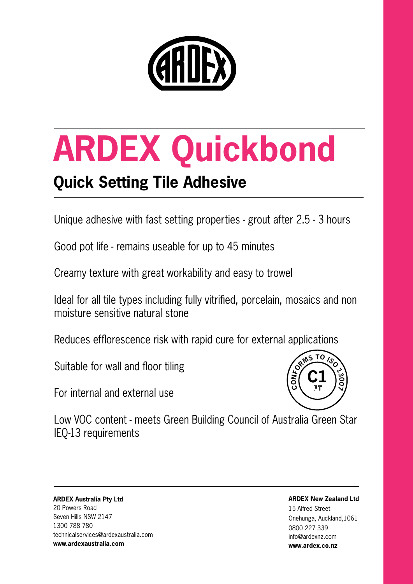

# **ARDEX Quickbond**

## **Quick Setting Tile Adhesive**

Unique adhesive with fast setting properties - grout after 2.5 - 3 hours

Good pot life - remains useable for up to 45 minutes

Creamy texture with great workability and easy to trowel

Ideal for all tile types including fully vitrified, porcelain, mosaics and non moisture sensitive natural stone

Reduces efflorescence risk with rapid cure for external applications

Suitable for wall and floor tiling

For internal and external use



Low VOC content - meets Green Building Council of Australia Green Star IEQ-13 requirements

**ARDEX Australia Pty Ltd** 20 Powers Road Seven Hills NSW 2147 1300 788 780 technicalservices@ardexaustralia.com **www.ardexaustralia.com** 

**ARDEX New Zealand Ltd** 

15 Alfred Street Onehunga, Auckland,1061 0800 227 339 info@ardexnz.com **www.ardex.co.nz**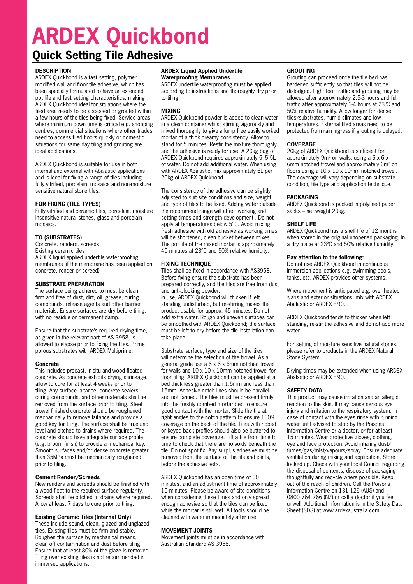## **ARDEX Quickbond**

### **Quick Setting Tile Adhesive**

#### **DESCRIPTION**

ARDEX Quickbond is a fast setting, polymer modified wall and floor tile adhesive, which has been specially formulated to have an extended pot life and fast setting characteristics, making ARDEX Quickbond ideal for situations where the tiled area needs to be accessed or grouted within a few hours of the tiles being fixed. Service areas where minimum down time is critical e.g. shopping centres, commercial situations where other trades need to access tiled floors quickly or domestic situations for same day tiling and grouting are ideal applications.

ARDEX Quickbond is suitable for use in both internal and external with Abalastic applications and is ideal for fixing a range of tiles including fully vitrified, porcelain, mosaics and non-moisture sensitive natural stone tiles.

#### **FOR FIXING (TILE TYPES)**

Fully vitrified and ceramic tiles, porcelain, moisture insensitive natural stones, glass and porcelain mosaics.

#### **TO (SUBSTRATES)**

Concrete, renders, screeds Existing ceramic tiles ARDEX liquid applied undertile waterproofing membranes (if the membrane has been applied on concrete, render or screed)

#### **SUBSTRATE PREPARATION**

The surface being adhered to must be clean, firm and free of dust, dirt, oil, grease, curing compounds, release agents and other barrier materials. Ensure surfaces are dry before tiling, with no residue or permanent damp.

Ensure that the substrate's required drying time, as given in the relevant part of AS 3958, is allowed to elapse prior to fixing the tiles. Prime porous substrates with ARDEX Multiprime.

#### **Concrete**

This includes precast, in-situ and wood floated concrete. As concrete exhibits drying shrinkage, allow to cure for at least 4 weeks prior to tiling. Any surface laitance, concrete sealers, curing compounds, and other materials shall be removed from the surface prior to tiling. Steel trowel finished concrete should be roughened mechanically to remove laitance and provide a good key for tiling. The surface shall be true and level and pitched to drains where required. The concrete should have adequate surface profile (e.g. broom finish) to provide a mechanical key. Smooth surfaces and/or dense concrete greater than 35MPa must be mechanically roughened prior to tiling.

#### **Cement Render/Screeds**

New renders and screeds should be finished with a wood float to the required surface regularity. Screeds shall be pitched to drains where required. Allow at least 7 days to cure prior to tiling.

#### **Existing Ceramic Tiles (Internal Only)**

These include sound, clean, glazed and unglazed tiles. Existing tiles must be firm and stable. Roughen the surface by mechanical means, clean off contamination and dust before tiling. Ensure that at least 80% of the glaze is removed. Tiling over existing tiles is not recommended in immersed applications.

#### **ARDEX Liquid Applied Undertile Waterproofing Membranes**

ARDEX undertile waterproofing must be applied according to instructions and thoroughly dry prior to tiling.

#### **MIXING**

ARDEX Quickbond powder is added to clean water in a clean container whilst stirring vigorously and mixed thoroughly to give a lump free easily worked mortar of a thick creamy consistency. Allow to stand for 5 minutes. Restir the mixture thoroughly and the adhesive is ready for use. A 20kg bag of ARDEX Quickbond requires approximately 5–5.5L of water. Do not add additional water. When using with ARDEX Abalastic, mix approximately 6L per 20kg of ARDEX Quickbond.

The consistency of the adhesive can be slightly adjusted to suit site conditions and size, weight and type of tiles to be fixed. Adding water outside the recommend range will affect working and setting times and strength development . Do not apply at temperatures below 5°C. Avoid mixing fresh adhesive with old adhesive as working times will be shortened, clean bucket between mixes. The pot life of the mixed mortar is approximately 45 minutes at 23ºC and 50% relative humidity.

#### **FIXING TECHNIQUE**

Tiles shall be fixed in accordance with AS3958. Before fixing ensure the substrate has been prepared correctly, and the tiles are free from dust and anti-blocking powder.

In use, ARDEX Quickbond will thicken if left standing undisturbed, but re-stirring makes the product usable for approx. 45 minutes. Do not add extra water. Rough and uneven surfaces can be smoothed with ARDEX Quickbond; the surface must be left to dry before the tile installation can take place.

Substrate surface, type and size of the tiles will determine the selection of the trowel. As a general guide use a 6 x 6 x 6mm notched trowel for walls and 10 x 10 x 10mm notched trowel for floor tiling. ARDEX Quickbond can be applied at a bed thickness greater than 1.5mm and less than 15mm. Adhesive notch lines should be parallel and not fanned. The tiles must be pressed firmly into the freshly combed mortar bed to ensure good contact with the mortar. Slide the tile at right angles to the notch pattern to ensure 100% coverage on the back of the tile. Tiles with ribbed or keyed back profiles should also be buttered to ensure complete coverage. Lift a tile from time to time to check that there are no voids beneath the tile. Do not spot fix. Any surplus adhesive must be removed from the surface of the tile and joints, before the adhesive sets.

ARDEX Quickbond has an open time of 30 minutes, and an adjustment time of approximately 10 minutes. Please be aware of site conditions when considering these times and only spread enough adhesive so that the tiles can be fixed while the mortar is still wet. All tools should be cleaned with water immediately after use.

#### **MOVEMENT JOINTS**

Movement joints must be in accordance with Australian Standard AS 3958.

#### **GROUTING**

Grouting can proceed once the tile bed has hardened sufficiently so that tiles will not be dislodged. Light foot traffic and grouting may be allowed after approximately 2.5-3 hours and full traffic after approximately 3-4 hours at 23ºC and 50% relative humidity. Allow longer for dense tiles/substrates, humid climates and low temperatures. External tiled areas need to be protected from rain ingress if grouting is delayed.

#### **COVERAGE**

20kg of ARDEX Quickbond is sufficient for approximately  $9m^2$  on walls, using a 6 x 6 x 6mm notched trowel and approximately 6m<sup>2</sup> on floors using a  $10 \times 10 \times 10$ mm notched trowel. The coverage will vary depending on substrate condition, tile type and application technique.

#### **PACKAGING**

ARDEX Quickbond is packed in polylined paper sacks – net weight 20kg.

#### **SHELF LIFE**

ARDEX Quickbond has a shelf life of 12 months when stored in the original unopened packaging, in a dry place at 23ºC and 50% relative humidity.

#### **Pay attention to the following:**

Do not use ARDEX Quickbond in continuous immersion applications e.g. swimming pools, tanks, etc. ARDEX provides other systems.

Where movement is anticipated e.g. over heated slabs and exterior situations, mix with ARDEX Abalastic or ARDEX E90.

ARDEX Quickbond tends to thicken when left standing, re-stir the adhesive and do not add more water.

For setting of moisture sensitive natural stones, please refer to products in the ARDEX Natural Stone System.

Drying times may be extended when using ARDEX Abalastic or ARDEX E90.

#### **SAFETY DATA**

This product may cause irritation and an allergic reaction to the skin. It may cause serious eye injury and irritation to the respiratory system. In case of contact with the eyes rinse with running water until advised to stop by the Poisons Information Centre or a doctor, or for at least 15 minutes. Wear protective gloves, clothing, eye and face protection. Avoid inhaling dust/ fumes/gas/mist/vapours/spray. Ensure adequate ventilation during mixing and application. Store locked up. Check with your local Council regarding the disposal of contents, dispose of packaging thoughtfully and recycle where possible. Keep out of the reach of children. Call the Poisons Information Centre on 131 126 (AUS) and 0800 764 766 (NZ) or call a doctor if you feel unwell. Additional information is in the Safety Data Sheet (SDS) at www.ardexaustralia.com